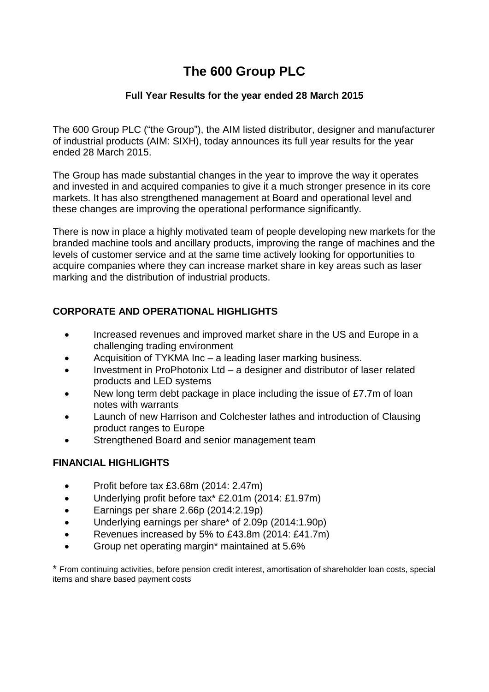# **The 600 Group PLC**

### **Full Year Results for the year ended 28 March 2015**

The 600 Group PLC ("the Group"), the AIM listed distributor, designer and manufacturer of industrial products (AIM: SIXH), today announces its full year results for the year ended 28 March 2015.

The Group has made substantial changes in the year to improve the way it operates and invested in and acquired companies to give it a much stronger presence in its core markets. It has also strengthened management at Board and operational level and these changes are improving the operational performance significantly.

There is now in place a highly motivated team of people developing new markets for the branded machine tools and ancillary products, improving the range of machines and the levels of customer service and at the same time actively looking for opportunities to acquire companies where they can increase market share in key areas such as laser marking and the distribution of industrial products.

# **CORPORATE AND OPERATIONAL HIGHLIGHTS**

- Increased revenues and improved market share in the US and Europe in a challenging trading environment
- Acquisition of TYKMA Inc a leading laser marking business.
- Investment in ProPhotonix Ltd a designer and distributor of laser related products and LED systems
- New long term debt package in place including the issue of £7.7m of loan notes with warrants
- Launch of new Harrison and Colchester lathes and introduction of Clausing product ranges to Europe
- Strengthened Board and senior management team

# **FINANCIAL HIGHLIGHTS**

- Profit before tax £3.68m (2014: 2.47m)
- Underlying profit before tax\* £2.01m (2014: £1.97m)
- **Earnings per share 2.66p (2014:2.19p)**
- Underlying earnings per share\* of 2.09p (2014:1.90p)
- Revenues increased by 5% to £43.8m (2014: £41.7m)
- Group net operating margin\* maintained at 5.6%

\* From continuing activities, before pension credit interest, amortisation of shareholder loan costs, special items and share based payment costs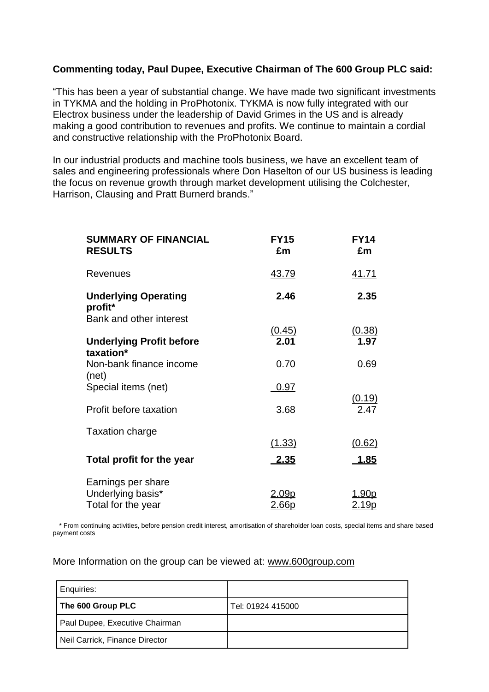### **Commenting today, Paul Dupee, Executive Chairman of The 600 Group PLC said:**

"This has been a year of substantial change. We have made two significant investments in TYKMA and the holding in ProPhotonix. TYKMA is now fully integrated with our Electrox business under the leadership of David Grimes in the US and is already making a good contribution to revenues and profits. We continue to maintain a cordial and constructive relationship with the ProPhotonix Board.

In our industrial products and machine tools business, we have an excellent team of sales and engineering professionals where Don Haselton of our US business is leading the focus on revenue growth through market development utilising the Colchester, Harrison, Clausing and Pratt Burnerd brands."

| <b>SUMMARY OF FINANCIAL</b><br><b>RESULTS</b>                     | <b>FY15</b><br>£m            | <b>FY14</b><br>£m             |
|-------------------------------------------------------------------|------------------------------|-------------------------------|
| <b>Revenues</b>                                                   | <u>43.79</u>                 | <u>41.71</u>                  |
| <b>Underlying Operating</b><br>profit*<br>Bank and other interest | 2.46                         | 2.35                          |
| <b>Underlying Profit before</b><br>taxation*                      | (0.45)<br>2.01               | (0.38)<br>1.97                |
| Non-bank finance income<br>(net)                                  | 0.70                         | 0.69                          |
| Special items (net)                                               | 0.97                         | <u>(0.19)</u>                 |
| Profit before taxation                                            | 3.68                         | 2.47                          |
| <b>Taxation charge</b>                                            | (1.33)                       | (0.62)                        |
| Total profit for the year                                         | <u>2.35</u>                  | <u>1.85</u>                   |
| Earnings per share<br>Underlying basis*<br>Total for the year     | <u>2.09p</u><br><u>2.66p</u> | <u> 1.90p</u><br><u>2.19p</u> |

\* From continuing activities, before pension credit interest, amortisation of shareholder loan costs, special items and share based payment costs

More Information on the group can be viewed at: [www.600group.com](http://www.600group.com/)

| Enquiries:                     |                   |
|--------------------------------|-------------------|
| The 600 Group PLC              | Tel: 01924 415000 |
| Paul Dupee, Executive Chairman |                   |
| Neil Carrick, Finance Director |                   |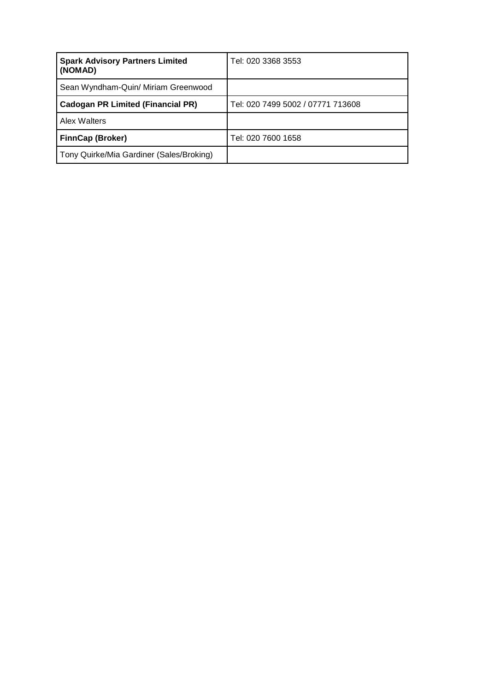| <b>Spark Advisory Partners Limited</b><br>(NOMAD) | Tel: 020 3368 3553                |
|---------------------------------------------------|-----------------------------------|
| Sean Wyndham-Quin/ Miriam Greenwood               |                                   |
| <b>Cadogan PR Limited (Financial PR)</b>          | Tel: 020 7499 5002 / 07771 713608 |
| Alex Walters                                      |                                   |
| <b>FinnCap (Broker)</b>                           | Tel: 020 7600 1658                |
| Tony Quirke/Mia Gardiner (Sales/Broking)          |                                   |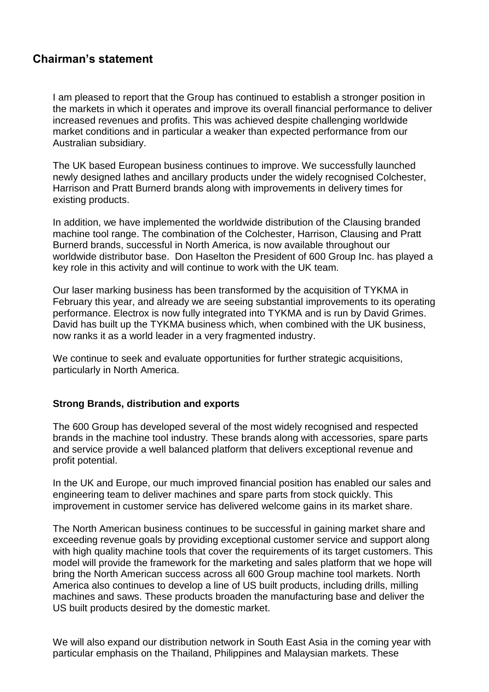# **Chairman's statement**

I am pleased to report that the Group has continued to establish a stronger position in the markets in which it operates and improve its overall financial performance to deliver increased revenues and profits. This was achieved despite challenging worldwide market conditions and in particular a weaker than expected performance from our Australian subsidiary.

The UK based European business continues to improve. We successfully launched newly designed lathes and ancillary products under the widely recognised Colchester, Harrison and Pratt Burnerd brands along with improvements in delivery times for existing products.

In addition, we have implemented the worldwide distribution of the Clausing branded machine tool range. The combination of the Colchester, Harrison, Clausing and Pratt Burnerd brands, successful in North America, is now available throughout our worldwide distributor base. Don Haselton the President of 600 Group Inc. has played a key role in this activity and will continue to work with the UK team*.* 

Our laser marking business has been transformed by the acquisition of TYKMA in February this year, and already we are seeing substantial improvements to its operating performance. Electrox is now fully integrated into TYKMA and is run by David Grimes. David has built up the TYKMA business which, when combined with the UK business, now ranks it as a world leader in a very fragmented industry.

We continue to seek and evaluate opportunities for further strategic acquisitions, particularly in North America.

### **Strong Brands, distribution and exports**

The 600 Group has developed several of the most widely recognised and respected brands in the machine tool industry. These brands along with accessories, spare parts and service provide a well balanced platform that delivers exceptional revenue and profit potential.

In the UK and Europe, our much improved financial position has enabled our sales and engineering team to deliver machines and spare parts from stock quickly. This improvement in customer service has delivered welcome gains in its market share.

The North American business continues to be successful in gaining market share and exceeding revenue goals by providing exceptional customer service and support along with high quality machine tools that cover the requirements of its target customers. This model will provide the framework for the marketing and sales platform that we hope will bring the North American success across all 600 Group machine tool markets. North America also continues to develop a line of US built products, including drills, milling machines and saws. These products broaden the manufacturing base and deliver the US built products desired by the domestic market.

We will also expand our distribution network in South East Asia in the coming year with particular emphasis on the Thailand, Philippines and Malaysian markets. These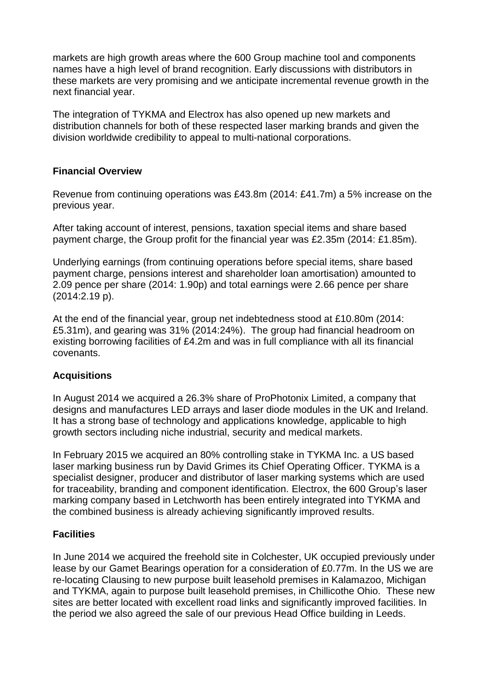markets are high growth areas where the 600 Group machine tool and components names have a high level of brand recognition. Early discussions with distributors in these markets are very promising and we anticipate incremental revenue growth in the next financial year.

The integration of TYKMA and Electrox has also opened up new markets and distribution channels for both of these respected laser marking brands and given the division worldwide credibility to appeal to multi-national corporations.

### **Financial Overview**

Revenue from continuing operations was £43.8m (2014: £41.7m) a 5% increase on the previous year.

After taking account of interest, pensions, taxation special items and share based payment charge, the Group profit for the financial year was £2.35m (2014: £1.85m).

Underlying earnings (from continuing operations before special items, share based payment charge, pensions interest and shareholder loan amortisation) amounted to 2.09 pence per share (2014: 1.90p) and total earnings were 2.66 pence per share (2014:2.19 p).

At the end of the financial year, group net indebtedness stood at £10.80m (2014: £5.31m), and gearing was 31% (2014:24%). The group had financial headroom on existing borrowing facilities of £4.2m and was in full compliance with all its financial covenants.

# **Acquisitions**

In August 2014 we acquired a 26.3% share of ProPhotonix Limited, a company that designs and manufactures LED arrays and laser diode modules in the UK and Ireland. It has a strong base of technology and applications knowledge, applicable to high growth sectors including niche industrial, security and medical markets.

In February 2015 we acquired an 80% controlling stake in TYKMA Inc. a US based laser marking business run by David Grimes its Chief Operating Officer. TYKMA is a specialist designer, producer and distributor of laser marking systems which are used for traceability, branding and component identification. Electrox, the 600 Group's laser marking company based in Letchworth has been entirely integrated into TYKMA and the combined business is already achieving significantly improved results.

### **Facilities**

In June 2014 we acquired the freehold site in Colchester, UK occupied previously under lease by our Gamet Bearings operation for a consideration of £0.77m. In the US we are re-locating Clausing to new purpose built leasehold premises in Kalamazoo, Michigan and TYKMA, again to purpose built leasehold premises, in Chillicothe Ohio. These new sites are better located with excellent road links and significantly improved facilities. In the period we also agreed the sale of our previous Head Office building in Leeds.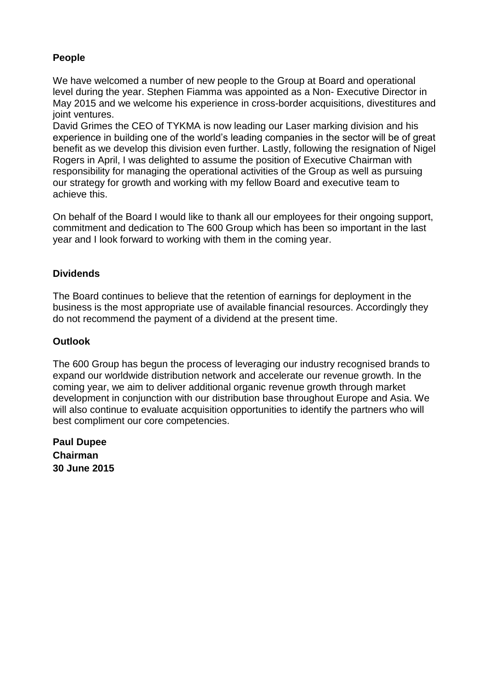# **People**

We have welcomed a number of new people to the Group at Board and operational level during the year. Stephen Fiamma was appointed as a Non- Executive Director in May 2015 and we welcome his experience in cross-border acquisitions, divestitures and joint ventures.

David Grimes the CEO of TYKMA is now leading our Laser marking division and his experience in building one of the world's leading companies in the sector will be of great benefit as we develop this division even further. Lastly, following the resignation of Nigel Rogers in April, I was delighted to assume the position of Executive Chairman with responsibility for managing the operational activities of the Group as well as pursuing our strategy for growth and working with my fellow Board and executive team to achieve this.

On behalf of the Board I would like to thank all our employees for their ongoing support, commitment and dedication to The 600 Group which has been so important in the last year and I look forward to working with them in the coming year.

### **Dividends**

The Board continues to believe that the retention of earnings for deployment in the business is the most appropriate use of available financial resources. Accordingly they do not recommend the payment of a dividend at the present time.

### **Outlook**

The 600 Group has begun the process of leveraging our industry recognised brands to expand our worldwide distribution network and accelerate our revenue growth. In the coming year, we aim to deliver additional organic revenue growth through market development in conjunction with our distribution base throughout Europe and Asia. We will also continue to evaluate acquisition opportunities to identify the partners who will best compliment our core competencies.

**Paul Dupee Chairman 30 June 2015**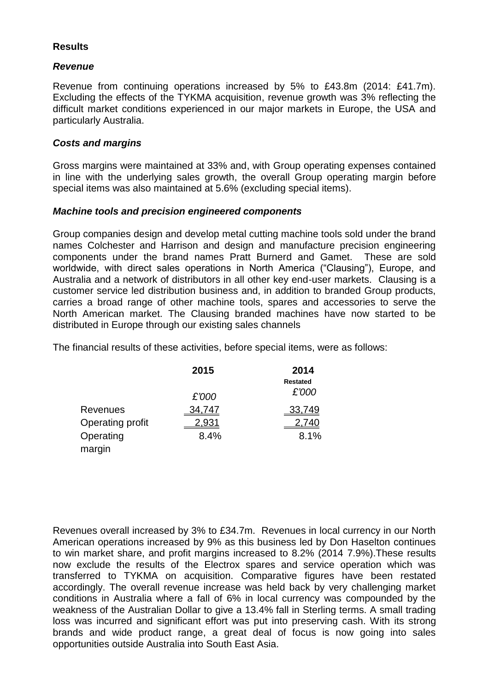### **Results**

### *Revenue*

Revenue from continuing operations increased by 5% to £43.8m (2014: £41.7m). Excluding the effects of the TYKMA acquisition, revenue growth was 3% reflecting the difficult market conditions experienced in our major markets in Europe, the USA and particularly Australia.

### *Costs and margins*

Gross margins were maintained at 33% and, with Group operating expenses contained in line with the underlying sales growth, the overall Group operating margin before special items was also maintained at 5.6% (excluding special items).

### *Machine tools and precision engineered components*

Group companies design and develop metal cutting machine tools sold under the brand names Colchester and Harrison and design and manufacture precision engineering components under the brand names Pratt Burnerd and Gamet. These are sold worldwide, with direct sales operations in North America ("Clausing"), Europe, and Australia and a network of distributors in all other key end-user markets. Clausing is a customer service led distribution business and, in addition to branded Group products, carries a broad range of other machine tools, spares and accessories to serve the North American market. The Clausing branded machines have now started to be distributed in Europe through our existing sales channels

The financial results of these activities, before special items, were as follows:

|                  | 2015         | 2014            |
|------------------|--------------|-----------------|
|                  |              | <b>Restated</b> |
|                  | £'000        | £'000           |
| <b>Revenues</b>  | 34,747       | <u>33,749</u>   |
| Operating profit | <u>2,931</u> | <u>2,740</u>    |
| Operating        | 8.4%         | 8.1%            |
| margin           |              |                 |

Revenues overall increased by 3% to £34.7m. Revenues in local currency in our North American operations increased by 9% as this business led by Don Haselton continues to win market share, and profit margins increased to 8.2% (2014 7.9%).These results now exclude the results of the Electrox spares and service operation which was transferred to TYKMA on acquisition. Comparative figures have been restated accordingly. The overall revenue increase was held back by very challenging market conditions in Australia where a fall of 6% in local currency was compounded by the weakness of the Australian Dollar to give a 13.4% fall in Sterling terms. A small trading loss was incurred and significant effort was put into preserving cash. With its strong brands and wide product range, a great deal of focus is now going into sales opportunities outside Australia into South East Asia.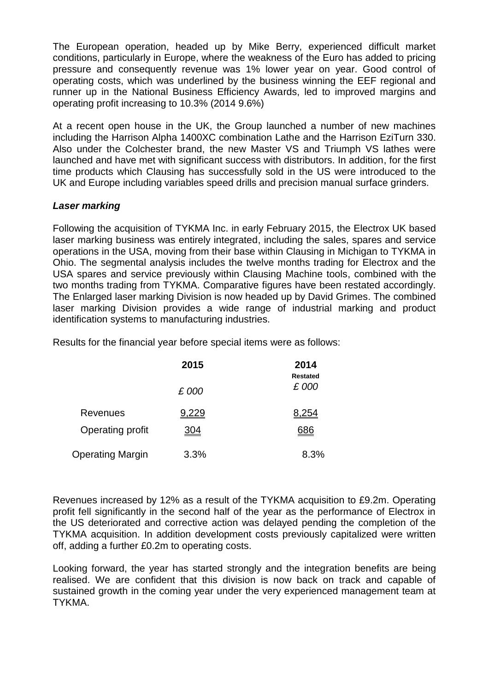The European operation, headed up by Mike Berry, experienced difficult market conditions, particularly in Europe, where the weakness of the Euro has added to pricing pressure and consequently revenue was 1% lower year on year. Good control of operating costs, which was underlined by the business winning the EEF regional and runner up in the National Business Efficiency Awards, led to improved margins and operating profit increasing to 10.3% (2014 9.6%)

At a recent open house in the UK, the Group launched a number of new machines including the Harrison Alpha 1400XC combination Lathe and the Harrison EziTurn 330. Also under the Colchester brand, the new Master VS and Triumph VS lathes were launched and have met with significant success with distributors. In addition, for the first time products which Clausing has successfully sold in the US were introduced to the UK and Europe including variables speed drills and precision manual surface grinders.

### *Laser marking*

Following the acquisition of TYKMA Inc. in early February 2015, the Electrox UK based laser marking business was entirely integrated, including the sales, spares and service operations in the USA, moving from their base within Clausing in Michigan to TYKMA in Ohio. The segmental analysis includes the twelve months trading for Electrox and the USA spares and service previously within Clausing Machine tools, combined with the two months trading from TYKMA. Comparative figures have been restated accordingly. The Enlarged laser marking Division is now headed up by David Grimes. The combined laser marking Division provides a wide range of industrial marking and product identification systems to manufacturing industries.

Results for the financial year before special items were as follows:

|                         | 2015       | 2014<br><b>Restated</b> |
|-------------------------|------------|-------------------------|
|                         | £ 000      | £000                    |
| Revenues                | 9,229      | 8,254                   |
| Operating profit        | <u>304</u> | <u>686</u>              |
| <b>Operating Margin</b> | 3.3%       | 8.3%                    |

Revenues increased by 12% as a result of the TYKMA acquisition to £9.2m. Operating profit fell significantly in the second half of the year as the performance of Electrox in the US deteriorated and corrective action was delayed pending the completion of the TYKMA acquisition. In addition development costs previously capitalized were written off, adding a further £0.2m to operating costs.

Looking forward, the year has started strongly and the integration benefits are being realised. We are confident that this division is now back on track and capable of sustained growth in the coming year under the very experienced management team at TYKMA.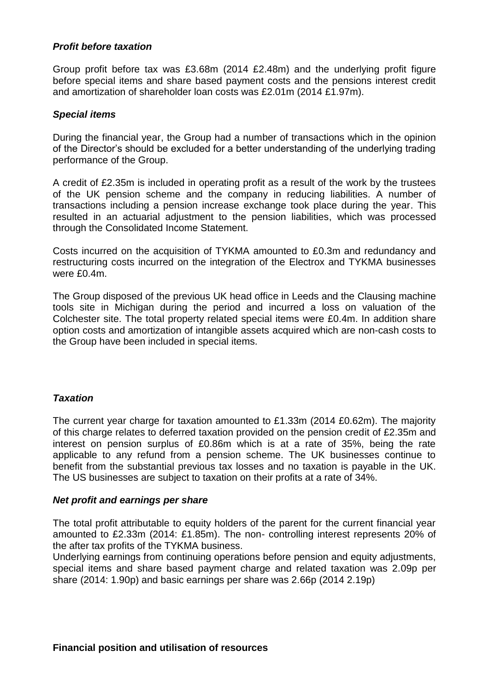### *Profit before taxation*

Group profit before tax was £3.68m (2014 £2.48m) and the underlying profit figure before special items and share based payment costs and the pensions interest credit and amortization of shareholder loan costs was £2.01m (2014 £1.97m).

#### *Special items*

During the financial year, the Group had a number of transactions which in the opinion of the Director's should be excluded for a better understanding of the underlying trading performance of the Group.

A credit of £2.35m is included in operating profit as a result of the work by the trustees of the UK pension scheme and the company in reducing liabilities. A number of transactions including a pension increase exchange took place during the year. This resulted in an actuarial adjustment to the pension liabilities, which was processed through the Consolidated Income Statement.

Costs incurred on the acquisition of TYKMA amounted to £0.3m and redundancy and restructuring costs incurred on the integration of the Electrox and TYKMA businesses were £0.4m.

The Group disposed of the previous UK head office in Leeds and the Clausing machine tools site in Michigan during the period and incurred a loss on valuation of the Colchester site. The total property related special items were £0.4m. In addition share option costs and amortization of intangible assets acquired which are non-cash costs to the Group have been included in special items.

### *Taxation*

The current year charge for taxation amounted to £1.33m (2014 £0.62m). The majority of this charge relates to deferred taxation provided on the pension credit of £2.35m and interest on pension surplus of £0.86m which is at a rate of 35%, being the rate applicable to any refund from a pension scheme. The UK businesses continue to benefit from the substantial previous tax losses and no taxation is payable in the UK. The US businesses are subject to taxation on their profits at a rate of 34%.

#### *Net profit and earnings per share*

The total profit attributable to equity holders of the parent for the current financial year amounted to £2.33m (2014: £1.85m). The non- controlling interest represents 20% of the after tax profits of the TYKMA business.

Underlying earnings from continuing operations before pension and equity adjustments, special items and share based payment charge and related taxation was 2.09p per share (2014: 1.90p) and basic earnings per share was 2.66p (2014 2.19p)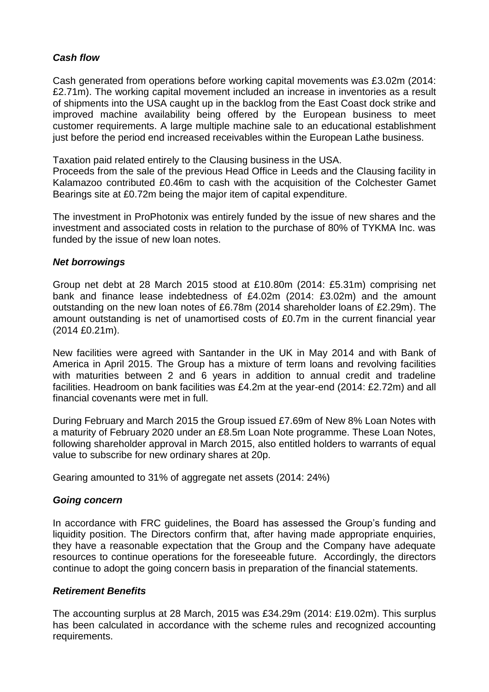### *Cash flow*

Cash generated from operations before working capital movements was £3.02m (2014: £2.71m). The working capital movement included an increase in inventories as a result of shipments into the USA caught up in the backlog from the East Coast dock strike and improved machine availability being offered by the European business to meet customer requirements. A large multiple machine sale to an educational establishment just before the period end increased receivables within the European Lathe business.

Taxation paid related entirely to the Clausing business in the USA.

Proceeds from the sale of the previous Head Office in Leeds and the Clausing facility in Kalamazoo contributed £0.46m to cash with the acquisition of the Colchester Gamet Bearings site at £0.72m being the major item of capital expenditure.

The investment in ProPhotonix was entirely funded by the issue of new shares and the investment and associated costs in relation to the purchase of 80% of TYKMA Inc. was funded by the issue of new loan notes.

#### *Net borrowings*

Group net debt at 28 March 2015 stood at £10.80m (2014: £5.31m) comprising net bank and finance lease indebtedness of £4.02m (2014: £3.02m) and the amount outstanding on the new loan notes of £6.78m (2014 shareholder loans of £2.29m). The amount outstanding is net of unamortised costs of £0.7m in the current financial year (2014 £0.21m).

New facilities were agreed with Santander in the UK in May 2014 and with Bank of America in April 2015. The Group has a mixture of term loans and revolving facilities with maturities between 2 and 6 years in addition to annual credit and tradeline facilities. Headroom on bank facilities was £4.2m at the year-end (2014: £2.72m) and all financial covenants were met in full.

During February and March 2015 the Group issued £7.69m of New 8% Loan Notes with a maturity of February 2020 under an £8.5m Loan Note programme. These Loan Notes, following shareholder approval in March 2015, also entitled holders to warrants of equal value to subscribe for new ordinary shares at 20p.

Gearing amounted to 31% of aggregate net assets (2014: 24%)

### *Going concern*

In accordance with FRC guidelines, the Board has assessed the Group's funding and liquidity position. The Directors confirm that, after having made appropriate enquiries, they have a reasonable expectation that the Group and the Company have adequate resources to continue operations for the foreseeable future. Accordingly, the directors continue to adopt the going concern basis in preparation of the financial statements.

### *Retirement Benefits*

The accounting surplus at 28 March, 2015 was £34.29m (2014: £19.02m). This surplus has been calculated in accordance with the scheme rules and recognized accounting requirements.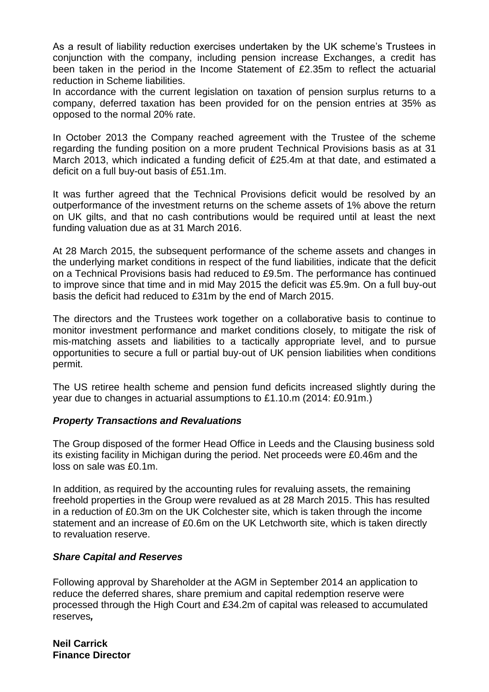As a result of liability reduction exercises undertaken by the UK scheme's Trustees in conjunction with the company, including pension increase Exchanges, a credit has been taken in the period in the Income Statement of £2.35m to reflect the actuarial reduction in Scheme liabilities.

In accordance with the current legislation on taxation of pension surplus returns to a company, deferred taxation has been provided for on the pension entries at 35% as opposed to the normal 20% rate.

In October 2013 the Company reached agreement with the Trustee of the scheme regarding the funding position on a more prudent Technical Provisions basis as at 31 March 2013, which indicated a funding deficit of £25.4m at that date, and estimated a deficit on a full buy-out basis of £51.1m.

It was further agreed that the Technical Provisions deficit would be resolved by an outperformance of the investment returns on the scheme assets of 1% above the return on UK gilts, and that no cash contributions would be required until at least the next funding valuation due as at 31 March 2016.

At 28 March 2015, the subsequent performance of the scheme assets and changes in the underlying market conditions in respect of the fund liabilities, indicate that the deficit on a Technical Provisions basis had reduced to £9.5m. The performance has continued to improve since that time and in mid May 2015 the deficit was £5.9m. On a full buy-out basis the deficit had reduced to £31m by the end of March 2015.

The directors and the Trustees work together on a collaborative basis to continue to monitor investment performance and market conditions closely, to mitigate the risk of mis-matching assets and liabilities to a tactically appropriate level, and to pursue opportunities to secure a full or partial buy-out of UK pension liabilities when conditions permit.

The US retiree health scheme and pension fund deficits increased slightly during the year due to changes in actuarial assumptions to £1.10.m (2014: £0.91m.)

### *Property Transactions and Revaluations*

The Group disposed of the former Head Office in Leeds and the Clausing business sold its existing facility in Michigan during the period. Net proceeds were £0.46m and the loss on sale was £0.1m.

In addition, as required by the accounting rules for revaluing assets, the remaining freehold properties in the Group were revalued as at 28 March 2015. This has resulted in a reduction of £0.3m on the UK Colchester site, which is taken through the income statement and an increase of £0.6m on the UK Letchworth site, which is taken directly to revaluation reserve.

# *Share Capital and Reserves*

Following approval by Shareholder at the AGM in September 2014 an application to reduce the deferred shares, share premium and capital redemption reserve were processed through the High Court and £34.2m of capital was released to accumulated reserves*,*

**Neil Carrick Finance Director**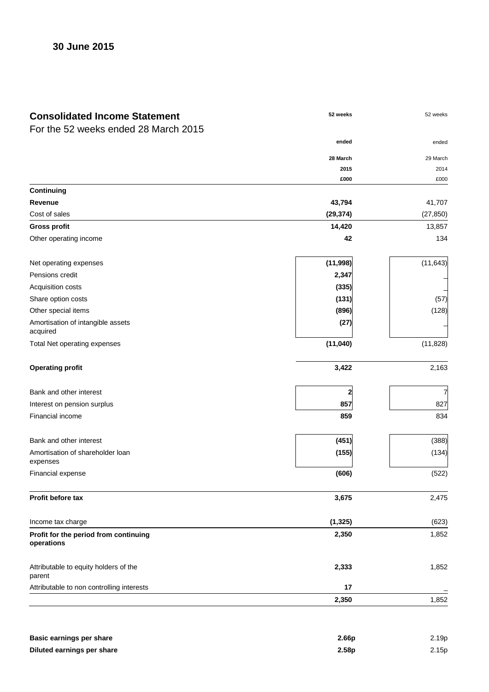| <b>Consolidated Income Statement</b>                | 52 weeks  | 52 weeks  |
|-----------------------------------------------------|-----------|-----------|
| For the 52 weeks ended 28 March 2015                |           |           |
|                                                     | ended     | ended     |
|                                                     | 28 March  | 29 March  |
|                                                     | 2015      | 2014      |
|                                                     | £000      | £000      |
| Continuing                                          |           |           |
| Revenue                                             | 43,794    | 41,707    |
| Cost of sales                                       | (29, 374) | (27, 850) |
| <b>Gross profit</b>                                 | 14,420    | 13,857    |
| Other operating income                              | 42        | 134       |
| Net operating expenses                              | (11, 998) | (11, 643) |
| Pensions credit                                     | 2,347     |           |
| Acquisition costs                                   | (335)     |           |
| Share option costs                                  | (131)     | (57)      |
| Other special items                                 | (896)     | (128)     |
| Amortisation of intangible assets<br>acquired       | (27)      |           |
| Total Net operating expenses                        | (11,040)  | (11, 828) |
| <b>Operating profit</b>                             | 3,422     | 2,163     |
| Bank and other interest                             |           | 7         |
| Interest on pension surplus                         | 857       | 827       |
| Financial income                                    | 859       | 834       |
| Bank and other interest                             | (451)     | (388)     |
| Amortisation of shareholder loan<br>expenses        | (155)     | (134)     |
| Financial expense                                   | (606)     | (522)     |
| Profit before tax                                   | 3,675     | 2,475     |
| Income tax charge                                   | (1, 325)  | (623)     |
| Profit for the period from continuing<br>operations | 2,350     | 1,852     |
| Attributable to equity holders of the<br>parent     | 2,333     | 1,852     |
| Attributable to non controlling interests           | 17        |           |
|                                                     | 2,350     | 1,852     |

| Basic earnings per share   | 2.66 <sub>p</sub> | 2.19p |
|----------------------------|-------------------|-------|
| Diluted earnings per share | 2.58 <sub>p</sub> | 2.15p |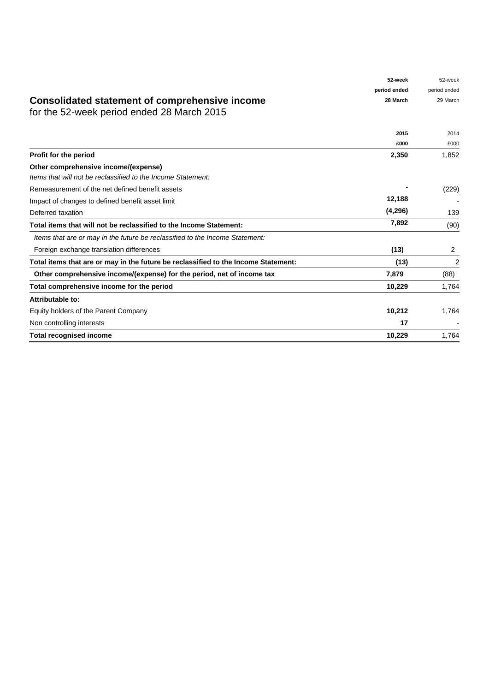|                                                                                              | 52-week      | 52-week      |
|----------------------------------------------------------------------------------------------|--------------|--------------|
|                                                                                              | period ended | period ended |
| Consolidated statement of comprehensive income<br>for the 52-week period ended 28 March 2015 | 28 March     | 29 March     |
|                                                                                              | 2015         | 2014         |
|                                                                                              | £000         | £000         |
| <b>Profit for the period</b>                                                                 | 2,350        | 1,852        |
| Other comprehensive income/(expense)                                                         |              |              |
| Items that will not be reclassified to the Income Statement:                                 |              |              |
| Remeasurement of the net defined benefit assets                                              |              | (229)        |
| Impact of changes to defined benefit asset limit                                             | 12,188       |              |
| Deferred taxation                                                                            | (4,296)      | 139          |
| Total items that will not be reclassified to the Income Statement:                           | 7,892        | (90)         |
| ltems that are or may in the future be reclassified to the Income Statement:                 |              |              |
| Foreign exchange translation differences                                                     | (13)         | 2            |
| Total items that are or may in the future be reclassified to the Income Statement:           | (13)         | 2            |
| Other comprehensive income/(expense) for the period, net of income tax                       | 7,879        | (88)         |
| Total comprehensive income for the period                                                    | 10,229       | 1,764        |
| Attributable to:                                                                             |              |              |
| Equity holders of the Parent Company                                                         | 10,212       | 1,764        |
| Non controlling interests                                                                    | 17           |              |
| <b>Total recognised income</b>                                                               | 10,229       | 1,764        |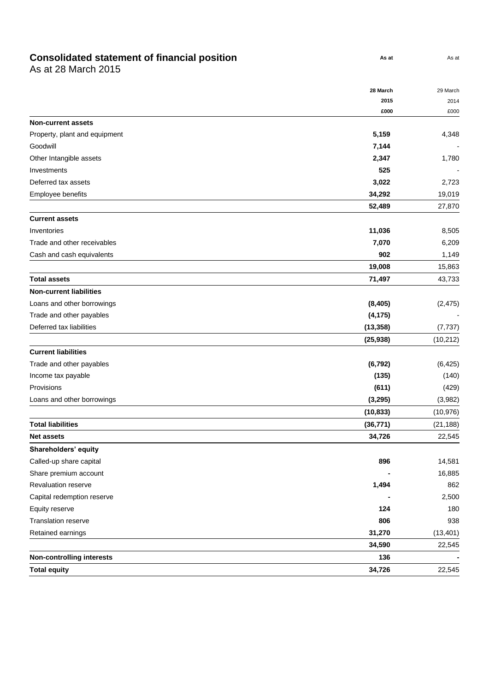#### **Consolidated statement of financial position and Number 0.4 August 0.4 August 0.4 August 0.4 August 0.4 August 0.4 August 0.4 August 0.4 August 0.4 August 0.4 August 0.4 August 0.5 August 0.5 August 0.5 August 0.5 August**

As at 28 March 2015

|                                  | 28 March  | 29 March  |
|----------------------------------|-----------|-----------|
|                                  | 2015      | 2014      |
|                                  | £000      | £000      |
| <b>Non-current assets</b>        |           |           |
| Property, plant and equipment    | 5,159     | 4,348     |
| Goodwill                         | 7,144     |           |
| Other Intangible assets          | 2,347     | 1,780     |
| Investments                      | 525       |           |
| Deferred tax assets              | 3,022     | 2,723     |
| Employee benefits                | 34,292    | 19,019    |
|                                  | 52,489    | 27,870    |
| <b>Current assets</b>            |           |           |
| Inventories                      | 11,036    | 8,505     |
| Trade and other receivables      | 7,070     | 6,209     |
| Cash and cash equivalents        | 902       | 1,149     |
|                                  | 19,008    | 15,863    |
| <b>Total assets</b>              | 71,497    | 43,733    |
| <b>Non-current liabilities</b>   |           |           |
| Loans and other borrowings       | (8, 405)  | (2, 475)  |
| Trade and other payables         | (4, 175)  |           |
| Deferred tax liabilities         | (13, 358) | (7, 737)  |
|                                  | (25, 938) | (10, 212) |
| <b>Current liabilities</b>       |           |           |
| Trade and other payables         | (6, 792)  | (6, 425)  |
| Income tax payable               | (135)     | (140)     |
| Provisions                       | (611)     | (429)     |
| Loans and other borrowings       | (3, 295)  | (3,982)   |
|                                  | (10, 833) | (10, 976) |
| <b>Total liabilities</b>         | (36, 771) | (21, 188) |
| <b>Net assets</b>                | 34,726    | 22,545    |
| Shareholders' equity             |           |           |
| Called-up share capital          | 896       | 14,581    |
| Share premium account            |           | 16,885    |
| Revaluation reserve              | 1,494     | 862       |
| Capital redemption reserve       |           | 2,500     |
| Equity reserve                   | 124       | 180       |
| Translation reserve              | 806       | 938       |
| Retained earnings                | 31,270    | (13, 401) |
|                                  | 34,590    | 22,545    |
| <b>Non-controlling interests</b> | 136       |           |
| <b>Total equity</b>              | 34,726    | 22,545    |

**As at** As at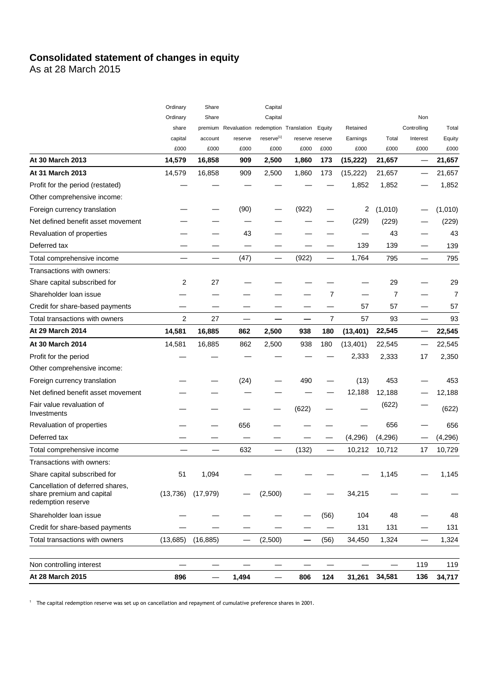# **Consolidated statement of changes in equity**

As at 28 March 2015

| At 28 March 2015                                                                    | 896             |                 | 1,494           | —                              | 806                                | 124    | 31,261           | 34,581        | 136              | 34,717         |
|-------------------------------------------------------------------------------------|-----------------|-----------------|-----------------|--------------------------------|------------------------------------|--------|------------------|---------------|------------------|----------------|
| Non controlling interest                                                            |                 | —               |                 |                                |                                    |        |                  | —             | 119              | 119            |
|                                                                                     |                 |                 |                 |                                |                                    |        |                  |               |                  |                |
| Total transactions with owners                                                      | (13,685)        | (16, 885)       |                 | (2,500)                        | —                                  | (56)   | 34,450           | 1,324         |                  | 1,324          |
| Credit for share-based payments                                                     |                 |                 |                 |                                |                                    |        | 131              | 131           |                  | 131            |
| Shareholder Ioan issue                                                              |                 |                 |                 |                                |                                    | (56)   | 104              | 48            |                  | 48             |
| Cancellation of deferred shares,<br>share premium and capital<br>redemption reserve | (13, 736)       | (17, 979)       |                 | (2,500)                        |                                    |        | 34,215           |               |                  |                |
| Share capital subscribed for                                                        | 51              | 1,094           |                 |                                |                                    |        |                  | 1,145         |                  | 1,145          |
| Transactions with owners:                                                           |                 |                 |                 |                                |                                    |        |                  |               |                  |                |
| Total comprehensive income                                                          |                 |                 | 632             |                                | (132)                              | —      | 10,212           | 10,712        | 17               | 10,729         |
| Deferred tax                                                                        |                 |                 |                 |                                |                                    |        | (4, 296)         | (4, 296)      |                  | (4, 296)       |
| Revaluation of properties                                                           |                 |                 | 656             |                                |                                    |        |                  | 656           |                  | 656            |
| Fair value revaluation of<br>Investments                                            |                 |                 |                 |                                | (622)                              |        |                  | (622)         |                  | (622)          |
| Net defined benefit asset movement                                                  |                 |                 |                 |                                |                                    |        | 12,188           | 12,188        |                  | 12,188         |
| Foreign currency translation                                                        |                 |                 | (24)            |                                | 490                                |        | (13)             | 453           |                  | 453            |
| Other comprehensive income:                                                         |                 |                 |                 |                                |                                    |        |                  |               |                  |                |
| Profit for the period                                                               |                 |                 |                 |                                |                                    |        | 2,333            | 2,333         | 17               | 2,350          |
| At 30 March 2014                                                                    | 14,581          | 16,885          | 862             | 2,500                          | 938                                | 180    | (13, 401)        | 22,545        |                  | 22,545         |
| At 29 March 2014                                                                    | 14,581          | 16,885          | 862             | 2,500                          | 938                                | 180    | (13, 401)        | 22,545        |                  | 22,545         |
| Total transactions with owners                                                      | 2               | 27              |                 |                                |                                    | 7      | 57               | 93            |                  | 93             |
| Credit for share-based payments                                                     |                 |                 |                 |                                |                                    |        | 57               | 57            |                  | 57             |
| Shareholder loan issue                                                              |                 |                 |                 |                                |                                    | 7      |                  | 7             |                  | 7              |
| Share capital subscribed for                                                        | 2               | 27              |                 |                                |                                    |        |                  | 29            |                  | 29             |
| Transactions with owners:                                                           |                 |                 |                 |                                |                                    |        |                  |               |                  |                |
| Total comprehensive income                                                          |                 |                 | (47)            |                                | (922)                              | —      | 1,764            | 795           | $\qquad \qquad$  | 795            |
| Deferred tax                                                                        |                 |                 |                 |                                |                                    |        | 139              | 139           |                  | 139            |
| Revaluation of properties                                                           |                 |                 | 43              |                                |                                    |        |                  | 43            |                  | 43             |
| Net defined benefit asset movement                                                  |                 |                 |                 |                                |                                    |        | (229)            | (229)         |                  | (229)          |
| Foreign currency translation                                                        |                 |                 | (90)            |                                | (922)                              |        | 2                | (1,010)       |                  | (1,010)        |
| Other comprehensive income:                                                         |                 |                 |                 |                                |                                    |        |                  |               |                  |                |
| Profit for the period (restated)                                                    |                 |                 |                 |                                |                                    |        | 1,852            | 1,852         |                  | 1,852          |
| At 31 March 2013                                                                    | 14,579          | 16,858          | 909             | 2,500                          | 1,860                              | 173    | (15, 222)        | 21,657        |                  | 21,657         |
| At 30 March 2013                                                                    | 14,579          | 16,858          | 909             | 2,500                          | 1,860                              | 173    | (15, 222)        | 21,657        | —                | 21,657         |
|                                                                                     | capital<br>£000 | account<br>£000 | reserve<br>£000 | reserve <sup>[1]</sup><br>£000 | reserve reserve<br>£000            | £000   | Earnings<br>£000 | Total<br>£000 | Interest<br>£000 | Equity<br>£000 |
|                                                                                     | share           | premium         |                 |                                | Revaluation redemption Translation | Equity | Retained         |               | Controlling      | Total          |
|                                                                                     | Ordinary        | Share           |                 | Capital                        |                                    |        |                  |               | Non              |                |
|                                                                                     | Ordinary        | Share           |                 | Capital                        |                                    |        |                  |               |                  |                |

<sup>1</sup> The capital redemption reserve was set up on cancellation and repayment of cumulative preference shares in 2001.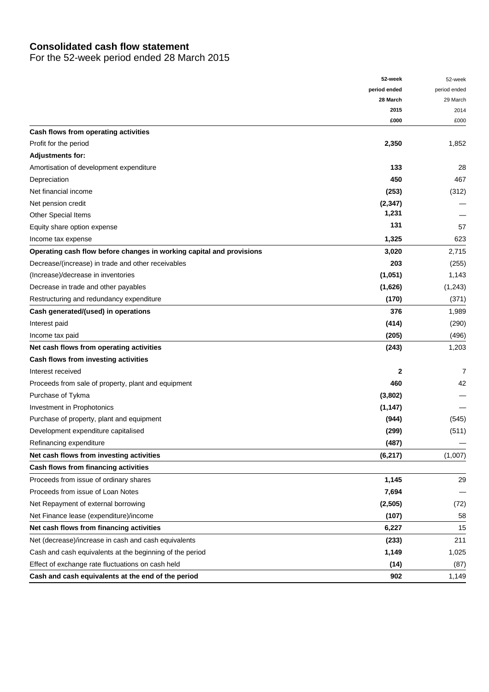# **Consolidated cash flow statement**

For the 52-week period ended 28 March 2015

|                                                                      | 52-week      | 52-week      |
|----------------------------------------------------------------------|--------------|--------------|
|                                                                      | period ended | period ended |
|                                                                      | 28 March     | 29 March     |
|                                                                      | 2015         | 2014         |
|                                                                      | £000         | £000         |
| Cash flows from operating activities                                 |              |              |
| Profit for the period                                                | 2,350        | 1,852        |
| <b>Adjustments for:</b>                                              |              |              |
| Amortisation of development expenditure                              | 133          | 28           |
| Depreciation                                                         | 450          | 467          |
| Net financial income                                                 | (253)        | (312)        |
| Net pension credit                                                   | (2, 347)     |              |
| <b>Other Special Items</b>                                           | 1,231        |              |
| Equity share option expense                                          | 131          | 57           |
| Income tax expense                                                   | 1,325        | 623          |
| Operating cash flow before changes in working capital and provisions | 3,020        | 2,715        |
| Decrease/(increase) in trade and other receivables                   | 203          | (255)        |
| (Increase)/decrease in inventories                                   | (1,051)      | 1,143        |
| Decrease in trade and other payables                                 | (1,626)      | (1,243)      |
| Restructuring and redundancy expenditure                             | (170)        | (371)        |
| Cash generated/(used) in operations                                  | 376          | 1,989        |
| Interest paid                                                        | (414)        | (290)        |
| Income tax paid                                                      | (205)        | (496)        |
| Net cash flows from operating activities                             | (243)        | 1,203        |
| Cash flows from investing activities                                 |              |              |
| Interest received                                                    | 2            | 7            |
| Proceeds from sale of property, plant and equipment                  | 460          | 42           |
| Purchase of Tykma                                                    | (3,802)      |              |
| Investment in Prophotonics                                           | (1, 147)     |              |
| Purchase of property, plant and equipment                            | (944)        | (545)        |
| Development expenditure capitalised                                  | (299)        | (511)        |
| Refinancing expenditure                                              | (487)        |              |
| Net cash flows from investing activities                             | (6, 217)     | (1,007)      |
| Cash flows from financing activities                                 |              |              |
| Proceeds from issue of ordinary shares                               | 1,145        | 29           |
| Proceeds from issue of Loan Notes                                    | 7,694        |              |
| Net Repayment of external borrowing                                  | (2,505)      | (72)         |
| Net Finance lease (expenditure)/income                               | (107)        | 58           |
| Net cash flows from financing activities                             |              | 15           |
|                                                                      | 6,227        | 211          |
| Net (decrease)/increase in cash and cash equivalents                 | (233)        |              |
| Cash and cash equivalents at the beginning of the period             | 1,149        | 1,025        |
| Effect of exchange rate fluctuations on cash held                    | (14)         | (87)         |
| Cash and cash equivalents at the end of the period                   | 902          | 1,149        |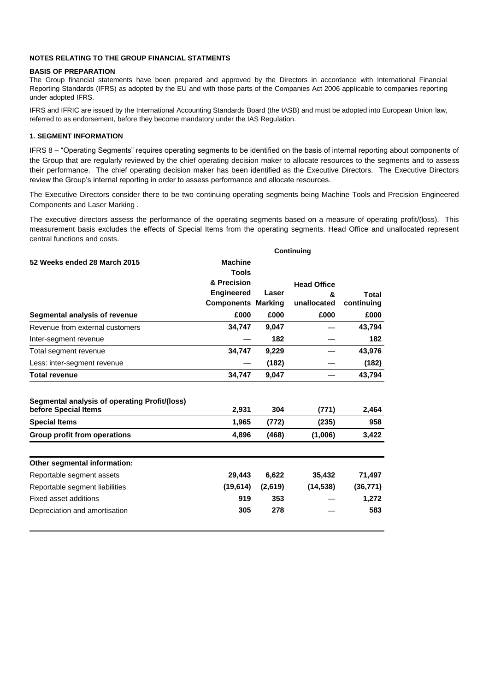#### **NOTES RELATING TO THE GROUP FINANCIAL STATMENTS**

#### **BASIS OF PREPARATION**

The Group financial statements have been prepared and approved by the Directors in accordance with International Financial Reporting Standards (IFRS) as adopted by the EU and with those parts of the Companies Act 2006 applicable to companies reporting under adopted IFRS.

IFRS and IFRIC are issued by the International Accounting Standards Board (the IASB) and must be adopted into European Union law, referred to as endorsement, before they become mandatory under the IAS Regulation.

#### **1. SEGMENT INFORMATION**

IFRS 8 – ―Operating Segments‖ requires operating segments to be identified on the basis of internal reporting about components of the Group that are regularly reviewed by the chief operating decision maker to allocate resources to the segments and to assess their performance. The chief operating decision maker has been identified as the Executive Directors. The Executive Directors review the Group's internal reporting in order to assess performance and allocate resources.

The Executive Directors consider there to be two continuing operating segments being Machine Tools and Precision Engineered Components and Laser Marking .

The executive directors assess the performance of the operating segments based on a measure of operating profit/(loss). This measurement basis excludes the effects of Special Items from the operating segments. Head Office and unallocated represent central functions and costs.

|                                                                       | Continuing                |         |                    |            |  |  |
|-----------------------------------------------------------------------|---------------------------|---------|--------------------|------------|--|--|
| 52 Weeks ended 28 March 2015                                          | <b>Machine</b>            |         |                    |            |  |  |
|                                                                       | <b>Tools</b>              |         |                    |            |  |  |
|                                                                       | & Precision               |         | <b>Head Office</b> |            |  |  |
|                                                                       | <b>Engineered</b>         | Laser   | &                  | Total      |  |  |
|                                                                       | <b>Components Marking</b> |         | unallocated        | continuing |  |  |
| Segmental analysis of revenue                                         | £000                      | £000    | £000               | £000       |  |  |
| Revenue from external customers                                       | 34,747                    | 9,047   |                    | 43,794     |  |  |
| Inter-segment revenue                                                 |                           | 182     |                    | 182        |  |  |
| Total segment revenue                                                 | 34,747                    | 9,229   |                    | 43,976     |  |  |
| Less: inter-segment revenue                                           |                           | (182)   |                    | (182)      |  |  |
| <b>Total revenue</b>                                                  | 34,747                    | 9,047   |                    | 43,794     |  |  |
| Segmental analysis of operating Profit/(loss)<br>before Special Items | 2,931                     | 304     | (771)              | 2,464      |  |  |
|                                                                       |                           |         |                    |            |  |  |
| <b>Special Items</b>                                                  | 1,965                     | (772)   | (235)              | 958        |  |  |
| Group profit from operations                                          | 4,896                     | (468)   | (1,006)            | 3,422      |  |  |
| Other segmental information:                                          |                           |         |                    |            |  |  |
| Reportable segment assets                                             | 29,443                    | 6,622   | 35,432             | 71,497     |  |  |
| Reportable segment liabilities                                        | (19, 614)                 | (2,619) | (14, 538)          | (36, 771)  |  |  |
| Fixed asset additions                                                 | 919                       | 353     |                    | 1,272      |  |  |
| Depreciation and amortisation                                         | 305                       | 278     |                    | 583        |  |  |
|                                                                       |                           |         |                    |            |  |  |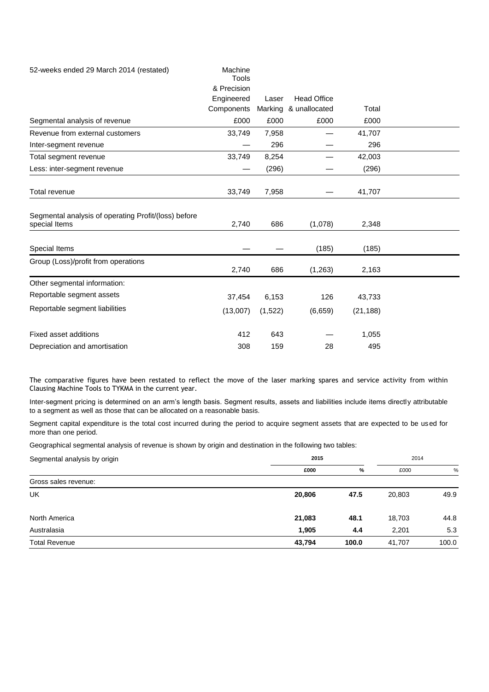| 52-weeks ended 29 March 2014 (restated)                               | Machine<br><b>Tools</b> |         |                       |           |  |
|-----------------------------------------------------------------------|-------------------------|---------|-----------------------|-----------|--|
|                                                                       | & Precision             |         |                       |           |  |
|                                                                       | Engineered              | Laser   | <b>Head Office</b>    |           |  |
|                                                                       | Components              |         | Marking & unallocated | Total     |  |
| Segmental analysis of revenue                                         | £000                    | £000    | £000                  | £000      |  |
| Revenue from external customers                                       | 33,749                  | 7,958   |                       | 41,707    |  |
| Inter-segment revenue                                                 |                         | 296     |                       | 296       |  |
| Total segment revenue                                                 | 33,749                  | 8,254   |                       | 42,003    |  |
| Less: inter-segment revenue                                           |                         | (296)   |                       | (296)     |  |
| <b>Total revenue</b>                                                  | 33,749                  | 7,958   |                       | 41,707    |  |
| Segmental analysis of operating Profit/(loss) before<br>special Items | 2,740                   | 686     | (1,078)               | 2,348     |  |
| Special Items                                                         |                         |         | (185)                 | (185)     |  |
| Group (Loss)/profit from operations                                   | 2,740                   | 686     | (1, 263)              | 2,163     |  |
| Other segmental information:                                          |                         |         |                       |           |  |
| Reportable segment assets                                             | 37,454                  | 6,153   | 126                   | 43,733    |  |
| Reportable segment liabilities                                        | (13,007)                | (1,522) | (6,659)               | (21, 188) |  |
| Fixed asset additions                                                 | 412                     | 643     |                       | 1,055     |  |
| Depreciation and amortisation                                         | 308                     | 159     | 28                    | 495       |  |

The comparative figures have been restated to reflect the move of the laser marking spares and service activity from within Clausing Machine Tools to TYKMA in the current year.

Inter-segment pricing is determined on an arm's length basis. Segment results, assets and liabilities include items directly attributable to a segment as well as those that can be allocated on a reasonable basis.

Segment capital expenditure is the total cost incurred during the period to acquire segment assets that are expected to be used for more than one period.

Geographical segmental analysis of revenue is shown by origin and destination in the following two tables:

| Segmental analysis by origin | 2015   |       | 2014   |       |
|------------------------------|--------|-------|--------|-------|
|                              | £000   | %     | £000   | %     |
| Gross sales revenue:         |        |       |        |       |
| UK                           | 20,806 | 47.5  | 20,803 | 49.9  |
| North America                | 21,083 | 48.1  | 18,703 | 44.8  |
| Australasia                  | 1,905  | 4.4   | 2,201  | 5.3   |
| <b>Total Revenue</b>         | 43,794 | 100.0 | 41,707 | 100.0 |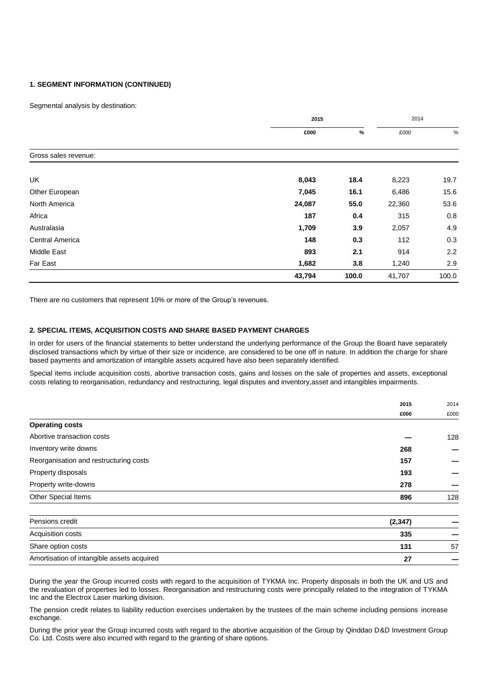#### **1. SEGMENT INFORMATION (CONTINUED)**

Segmental analysis by destination:

|                        | 2015   |       |        | 2014  |  |
|------------------------|--------|-------|--------|-------|--|
|                        | £000   | %     | £000   | %     |  |
| Gross sales revenue:   |        |       |        |       |  |
| UK                     | 8,043  | 18.4  | 8,223  | 19.7  |  |
| Other European         | 7,045  | 16.1  | 6,486  | 15.6  |  |
| North America          | 24,087 | 55.0  | 22,360 | 53.6  |  |
| Africa                 | 187    | 0.4   | 315    | 0.8   |  |
| Australasia            | 1,709  | 3.9   | 2,057  | 4.9   |  |
| <b>Central America</b> | 148    | 0.3   | 112    | 0.3   |  |
| Middle East            | 893    | 2.1   | 914    | 2.2   |  |
| Far East               | 1,682  | 3.8   | 1,240  | 2.9   |  |
|                        | 43,794 | 100.0 | 41,707 | 100.0 |  |

There are no customers that represent 10% or more of the Group's revenues.

#### **2. SPECIAL ITEMS, ACQUISITION COSTS AND SHARE BASED PAYMENT CHARGES**

In order for users of the financial statements to better understand the underlying performance of the Group the Board have separately disclosed transactions which by virtue of their size or incidence, are considered to be one off in nature. In addition the charge for share based payments and amortization of intangible assets acquired have also been separately identified.

Special items include acquisition costs, abortive transaction costs, gains and losses on the sale of properties and assets, exceptional costs relating to reorganisation, redundancy and restructuring, legal disputes and inventory,asset and intangibles impairments.

|                                        | 2015 | 2014 |
|----------------------------------------|------|------|
|                                        | £000 | £000 |
| <b>Operating costs</b>                 |      |      |
| Abortive transaction costs             |      | 128  |
| Inventory write downs                  | 268  |      |
| Reorganisation and restructuring costs | 157  |      |
| Property disposals                     | 193  |      |
| Property write-downs                   | 278  |      |
| Other Special Items                    | 896  | 128  |
|                                        |      |      |

| Pensions credit                            | (2,347) |    |
|--------------------------------------------|---------|----|
| Acquisition costs                          | 335     |    |
| Share option costs                         | 131     | 57 |
| Amortisation of intangible assets acquired | 27      |    |

During the year the Group incurred costs with regard to the acquisition of TYKMA Inc. Property disposals in both the UK and US and the revaluation of properties led to losses. Reorganisation and restructuring costs were principally related to the integration of TYKMA Inc and the Electrox Laser marking division.

The pension credit relates to liability reduction exercises undertaken by the trustees of the main scheme including pensions increase exchange.

During the prior year the Group incurred costs with regard to the abortive acquisition of the Group by Qinddao D&D Investment Group Co. Ltd. Costs were also incurred with regard to the granting of share options.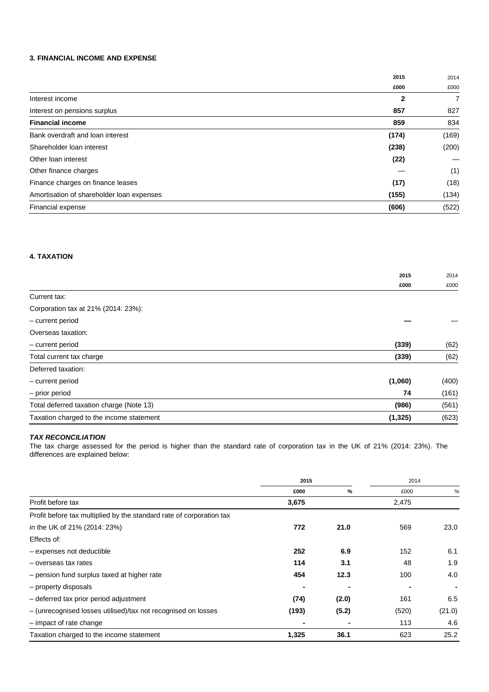#### **3. FINANCIAL INCOME AND EXPENSE**

|                                           | 2015         | 2014  |
|-------------------------------------------|--------------|-------|
|                                           | £000         | £000  |
| Interest income                           | $\mathbf{2}$ | 7     |
| Interest on pensions surplus              | 857          | 827   |
| <b>Financial income</b>                   | 859          | 834   |
| Bank overdraft and loan interest          | (174)        | (169) |
| Shareholder Ioan interest                 | (238)        | (200) |
| Other loan interest                       | (22)         |       |
| Other finance charges                     |              | (1)   |
| Finance charges on finance leases         | (17)         | (18)  |
| Amortisation of shareholder loan expenses | (155)        | (134) |
| Financial expense                         | (606)        | (522) |

#### **4. TAXATION**

|                                          | 2015     | 2014  |
|------------------------------------------|----------|-------|
|                                          | £000     | £000  |
| Current tax:                             |          |       |
| Corporation tax at 21% (2014: 23%):      |          |       |
| - current period                         |          |       |
| Overseas taxation:                       |          |       |
| - current period                         | (339)    | (62)  |
| Total current tax charge                 | (339)    | (62)  |
| Deferred taxation:                       |          |       |
| - current period                         | (1,060)  | (400) |
| - prior period                           | 74       | (161) |
| Total deferred taxation charge (Note 13) | (986)    | (561) |
| Taxation charged to the income statement | (1, 325) | (623) |

#### *TAX RECONCILIATION*

The tax charge assessed for the period is higher than the standard rate of corporation tax in the UK of 21% (2014: 23%). The differences are explained below:

|                                                                      | 2015  |       | 2014  |        |
|----------------------------------------------------------------------|-------|-------|-------|--------|
|                                                                      | £000  | %     | £000  | %      |
| Profit before tax                                                    | 3,675 |       | 2,475 |        |
| Profit before tax multiplied by the standard rate of corporation tax |       |       |       |        |
| in the UK of 21% (2014: 23%)                                         | 772   | 21.0  | 569   | 23.0   |
| Effects of:                                                          |       |       |       |        |
| - expenses not deductible                                            | 252   | 6.9   | 152   | 6.1    |
| - overseas tax rates                                                 | 114   | 3.1   | 48    | 1.9    |
| - pension fund surplus taxed at higher rate                          | 454   | 12.3  | 100   | 4.0    |
| - property disposals                                                 |       |       |       |        |
| - deferred tax prior period adjustment                               | (74)  | (2.0) | 161   | 6.5    |
| - (unrecognised losses utilised)/tax not recognised on losses        | (193) | (5.2) | (520) | (21.0) |
| - impact of rate change                                              |       |       | 113   | 4.6    |
| Taxation charged to the income statement                             | 1,325 | 36.1  | 623   | 25.2   |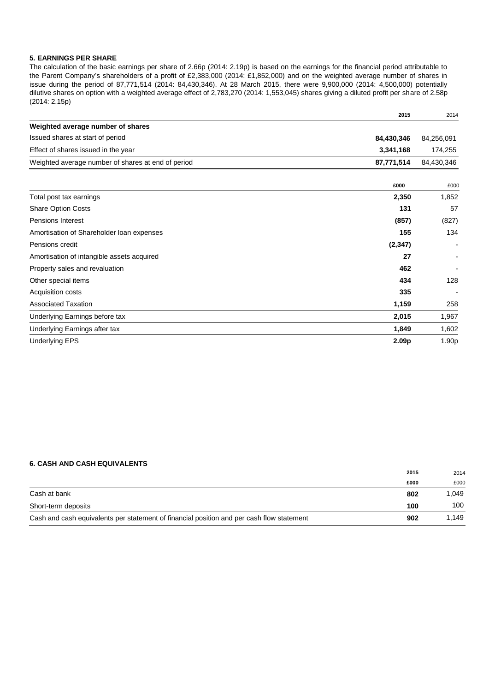#### **5. EARNINGS PER SHARE**

The calculation of the basic earnings per share of 2.66p (2014: 2.19p) is based on the earnings for the financial period attributable to the Parent Company's shareholders of a profit of £2,383,000 (2014: £1,852,000) and on the weighted average number of shares in issue during the period of 87,771,514 (2014: 84,430,346). At 28 March 2015, there were 9,900,000 (2014: 4,500,000) potentially dilutive shares on option with a weighted average effect of 2,783,270 (2014: 1,553,045) shares giving a diluted profit per share of 2.58p (2014: 2.15p)

| Weighted average number of shares<br>Issued shares at start of period<br>84,430,346<br>3,341,168<br>Effect of shares issued in the year<br>87,771,514<br>Weighted average number of shares at end of period<br>£000<br>2,350<br>Total post tax earnings<br><b>Share Option Costs</b><br>131<br>(857)<br><b>Pensions Interest</b><br>155<br>Amortisation of Shareholder Ioan expenses<br>(2, 347)<br>Pensions credit<br>Amortisation of intangible assets acquired<br>27<br>462<br>Property sales and revaluation | 84,256,091<br>174,255<br>84,430,346<br>£000<br>1,852 |
|------------------------------------------------------------------------------------------------------------------------------------------------------------------------------------------------------------------------------------------------------------------------------------------------------------------------------------------------------------------------------------------------------------------------------------------------------------------------------------------------------------------|------------------------------------------------------|
|                                                                                                                                                                                                                                                                                                                                                                                                                                                                                                                  |                                                      |
|                                                                                                                                                                                                                                                                                                                                                                                                                                                                                                                  |                                                      |
|                                                                                                                                                                                                                                                                                                                                                                                                                                                                                                                  |                                                      |
|                                                                                                                                                                                                                                                                                                                                                                                                                                                                                                                  |                                                      |
|                                                                                                                                                                                                                                                                                                                                                                                                                                                                                                                  |                                                      |
|                                                                                                                                                                                                                                                                                                                                                                                                                                                                                                                  |                                                      |
|                                                                                                                                                                                                                                                                                                                                                                                                                                                                                                                  | 57                                                   |
|                                                                                                                                                                                                                                                                                                                                                                                                                                                                                                                  | (827)                                                |
|                                                                                                                                                                                                                                                                                                                                                                                                                                                                                                                  | 134                                                  |
|                                                                                                                                                                                                                                                                                                                                                                                                                                                                                                                  |                                                      |
|                                                                                                                                                                                                                                                                                                                                                                                                                                                                                                                  |                                                      |
|                                                                                                                                                                                                                                                                                                                                                                                                                                                                                                                  |                                                      |
| 434<br>Other special items                                                                                                                                                                                                                                                                                                                                                                                                                                                                                       | 128                                                  |
| 335<br>Acquisition costs                                                                                                                                                                                                                                                                                                                                                                                                                                                                                         |                                                      |
| <b>Associated Taxation</b><br>1,159                                                                                                                                                                                                                                                                                                                                                                                                                                                                              | 258                                                  |
| 2,015<br>Underlying Earnings before tax                                                                                                                                                                                                                                                                                                                                                                                                                                                                          | 1,967                                                |
| Underlying Earnings after tax<br>1,849                                                                                                                                                                                                                                                                                                                                                                                                                                                                           | 1,602                                                |
| 2.09 <sub>p</sub><br><b>Underlying EPS</b>                                                                                                                                                                                                                                                                                                                                                                                                                                                                       | 1.90p                                                |

#### **6. CASH AND CASH EQUIVALENTS**

|                                                                                           | 2015 | 2014  |
|-------------------------------------------------------------------------------------------|------|-------|
|                                                                                           | £000 | £000  |
| Cash at bank                                                                              | 802  | 1.049 |
| Short-term deposits                                                                       | 100  | 100   |
| Cash and cash equivalents per statement of financial position and per cash flow statement | 902  | 1.149 |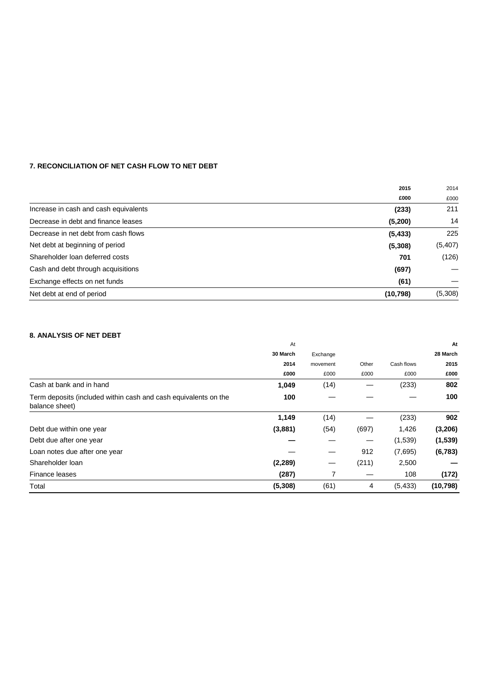#### **7. RECONCILIATION OF NET CASH FLOW TO NET DEBT**

| 2014    |
|---------|
| £000    |
| 211     |
| 14      |
| 225     |
| (5,407) |
| (126)   |
|         |
|         |
| (5,308) |
|         |

#### **8. ANALYSIS OF NET DEBT**

|                                                                                   | At       |          |       |            | At        |
|-----------------------------------------------------------------------------------|----------|----------|-------|------------|-----------|
|                                                                                   | 30 March | Exchange |       |            | 28 March  |
|                                                                                   | 2014     | movement | Other | Cash flows | 2015      |
|                                                                                   | £000     | £000     | £000  | £000       | £000      |
| Cash at bank and in hand                                                          | 1,049    | (14)     |       | (233)      | 802       |
| Term deposits (included within cash and cash equivalents on the<br>balance sheet) | 100      |          |       |            | 100       |
|                                                                                   | 1,149    | (14)     |       | (233)      | 902       |
| Debt due within one year                                                          | (3,881)  | (54)     | (697) | 1,426      | (3,206)   |
| Debt due after one year                                                           |          |          | —     | (1,539)    | (1,539)   |
| Loan notes due after one year                                                     |          |          | 912   | (7,695)    | (6, 783)  |
| Shareholder loan                                                                  | (2, 289) | —        | (211) | 2,500      |           |
| Finance leases                                                                    | (287)    | 7        |       | 108        | (172)     |
| Total                                                                             | (5,308)  | (61)     | 4     | (5, 433)   | (10, 798) |